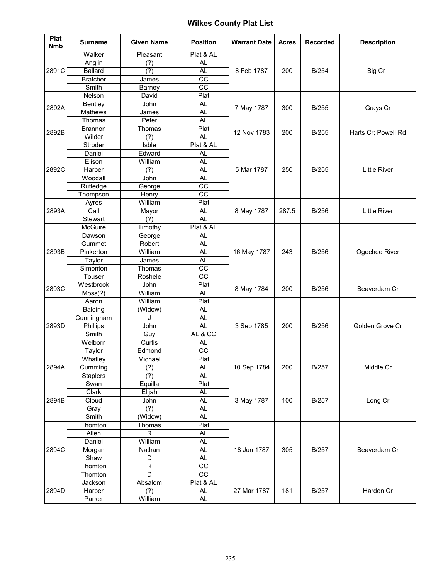| Plat<br><b>Nmb</b> | <b>Surname</b>  | <b>Given Name</b>           | <b>Position</b> | <b>Warrant Date</b> | <b>Acres</b> | <b>Recorded</b> | <b>Description</b>  |
|--------------------|-----------------|-----------------------------|-----------------|---------------------|--------------|-----------------|---------------------|
|                    | Walker          | Pleasant                    | Plat & AL       |                     |              |                 |                     |
| 2891C              | Anglin          | (?)                         | <b>AL</b>       |                     |              |                 |                     |
|                    | <b>Ballard</b>  | (?)                         | <b>AL</b>       | 8 Feb 1787          | 200          | B/254           | Big Cr              |
|                    | <b>Bratcher</b> | James                       | CC              |                     |              |                 |                     |
|                    | Smith           | Barney                      | $\overline{cc}$ |                     |              |                 |                     |
|                    | Nelson          | David                       | Plat            |                     |              |                 | Grays Cr            |
| 2892A              | Bentley         | John                        | <b>AL</b>       | 7 May 1787          | 300          | <b>B/255</b>    |                     |
|                    | Mathews         | James                       | <b>AL</b>       |                     |              |                 |                     |
|                    | Thomas          | Peter                       | <b>AL</b>       |                     |              |                 |                     |
| 2892B              | Brannon         | Thomas                      | Plat            | 12 Nov 1783         | 200          | B/255           | Harts Cr; Powell Rd |
|                    | Wilder          | (?)                         | <b>AL</b>       |                     |              |                 |                     |
|                    | Stroder         | Isble                       | Plat & AL       |                     |              |                 |                     |
|                    | Daniel          | Edward                      | AL              |                     |              |                 |                     |
|                    | Elison          | William                     | AL              |                     |              |                 |                     |
| 2892C              | Harper          | (?)                         | <b>AL</b>       | 5 Mar 1787          | 250          | B/255           | <b>Little River</b> |
|                    | Woodall         | John                        | <b>AL</b>       |                     |              |                 |                     |
|                    | Rutledge        | George                      | $\overline{cc}$ |                     |              |                 |                     |
|                    | Thompson        | Henry                       | CC              |                     |              |                 |                     |
|                    | Ayres           | William                     | Plat            | 8 May 1787          | 287.5        | B/256           | <b>Little River</b> |
| 2893A              | Call            | Mayor                       | <b>AL</b>       |                     |              |                 |                     |
|                    | Stewart         | (?)                         | <b>AL</b>       |                     |              |                 |                     |
|                    | McGuire         | Timothy                     | Plat & AL       | 16 May 1787         | 243          | <b>B/256</b>    | Ogechee River       |
|                    | Dawson          | George                      | <b>AL</b>       |                     |              |                 |                     |
|                    | Gummet          | Robert                      | <b>AL</b>       |                     |              |                 |                     |
| 2893B              | Pinkerton       | William                     | <b>AL</b>       |                     |              |                 |                     |
|                    | Taylor          | James                       | <b>AL</b>       |                     |              |                 |                     |
|                    | Simonton        | Thomas                      | $\overline{cc}$ |                     |              |                 |                     |
|                    | Touser          | Roshele                     | cc              |                     |              |                 |                     |
| 2893C              | Westbrook       | John                        | Plat            | 8 May 1784          | 200          | B/256           | Beaverdam Cr        |
|                    | Moss(?)         | William                     | <b>AL</b>       |                     |              |                 |                     |
|                    | Aaron           | William                     | Plat            |                     |              | <b>B/256</b>    | Golden Grove Cr     |
|                    | Balding         | (Widow)                     | <b>AL</b>       | 3 Sep 1785          |              |                 |                     |
|                    | Cunningham      | J                           | <b>AL</b>       |                     |              |                 |                     |
| 2893D              | Phillips        | John                        | <b>AL</b>       |                     | 200          |                 |                     |
|                    | Smith           | Guy                         | AL & CC         |                     |              |                 |                     |
|                    | Welborn         | Curtis                      | AL              |                     |              |                 |                     |
|                    | Taylor          | Edmond                      | $\overline{cc}$ |                     |              |                 |                     |
|                    | Whatley         | Michael                     | Plat            | 10 Sep 1784         | 200          | <b>B/257</b>    | Middle Cr           |
| 2894A              | Cumming         | (?)                         | <b>AL</b>       |                     |              |                 |                     |
|                    | <b>Staplers</b> | $\overline{(\overline{?})}$ | AL              |                     |              | <b>B/257</b>    | Long Cr             |
|                    | Swan            | Equilla                     | Plat            |                     |              |                 |                     |
|                    | Clark           | Elijah                      | <b>AL</b>       |                     |              |                 |                     |
| 2894B              | Cloud           | John                        | AL              | 3 May 1787          | 100          |                 |                     |
|                    | Gray            | (?)                         | AL              |                     |              |                 |                     |
|                    | Smith           | (Widow)                     | AL              |                     |              |                 |                     |
|                    | Thomton         | Thomas                      | Plat            |                     | 305          | <b>B/257</b>    | Beaverdam Cr        |
|                    | Allen           | R                           | AL              | 18 Jun 1787         |              |                 |                     |
|                    | Daniel          | William                     | <b>AL</b>       |                     |              |                 |                     |
| 2894C              | Morgan          | Nathan                      | <b>AL</b>       |                     |              |                 |                     |
|                    | Shaw            | D                           | AL              |                     |              |                 |                     |
|                    | Thomton         | $\mathsf{R}$                | $\overline{CC}$ |                     |              |                 |                     |
|                    | Thomton         | D                           | CC              |                     |              |                 |                     |
|                    | Jackson         | Absalom                     | Plat & AL       |                     |              |                 | Harden Cr           |
| 2894D              | Harper          | (?)                         | AL              | 27 Mar 1787         | 181          | <b>B/257</b>    |                     |
|                    | Parker          | William                     | AL              |                     |              |                 |                     |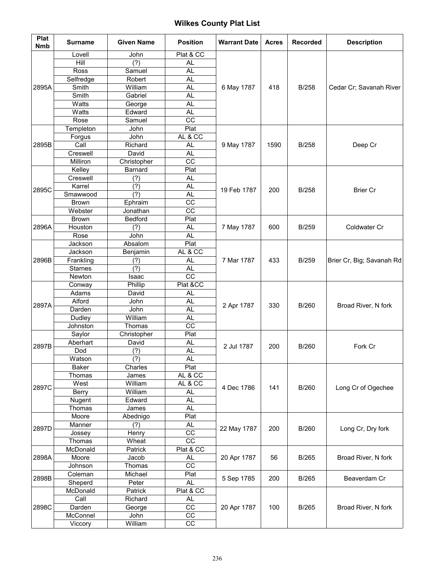| Plat<br><b>Nmb</b> | <b>Surname</b>     | <b>Given Name</b> | <b>Position</b>        | <b>Warrant Date</b> | <b>Acres</b> | <b>Recorded</b> | <b>Description</b>        |
|--------------------|--------------------|-------------------|------------------------|---------------------|--------------|-----------------|---------------------------|
|                    | Lovell             | John              | Plat & CC              |                     |              |                 |                           |
|                    | Hill               | (?)               | AL                     | 6 May 1787          |              |                 |                           |
|                    | Ross               | Samuel            | <b>AL</b>              |                     |              |                 |                           |
|                    | Selfredge          | Robert            | <b>AL</b>              |                     |              |                 |                           |
| 2895A              | Smith              | William           | <b>AL</b>              |                     | 418          | <b>B/258</b>    | Cedar Cr; Savanah River   |
|                    | Smith              | Gabriel           | AL                     |                     |              |                 |                           |
|                    | Watts              | George            | AL                     |                     |              |                 |                           |
|                    | Watts              | Edward            | AL                     |                     |              |                 |                           |
|                    | Rose               | Samuel            | $\overline{cc}$        |                     |              |                 |                           |
|                    | Templeton          | John              | Plat                   |                     | 1590         | <b>B/258</b>    | Deep Cr                   |
|                    | Forgus             | John              | AL & CC                | 9 May 1787          |              |                 |                           |
| 2895B              | Call               | Richard           | AL                     |                     |              |                 |                           |
|                    | Creswell           | David             | AL                     |                     |              |                 |                           |
|                    | Milliron           | Christopher       | CC                     |                     |              |                 |                           |
|                    | Kelley             | Barnard           | Plat                   |                     |              |                 |                           |
|                    | Creswell<br>Karrel | (?)<br>(?)        | <b>AL</b><br><b>AL</b> |                     |              |                 |                           |
| 2895C              | Smawwood           | (?)               | <b>AL</b>              | 19 Feb 1787         | 200          | <b>B/258</b>    | <b>Brier Cr</b>           |
|                    | <b>Brown</b>       | Ephraim           | $\overline{cc}$        |                     |              |                 |                           |
|                    | Webster            | Jonathan          | CC                     |                     |              |                 |                           |
|                    | Brown              | Bedford           | Plat                   |                     |              |                 |                           |
| 2896A              | Houston            | (?)               | <b>AL</b>              | 7 May 1787          | 600          | <b>B/259</b>    | Coldwater Cr              |
|                    | Rose               | John              | AL                     |                     |              |                 |                           |
|                    | Jackson            | Absalom           | Plat                   | 7 Mar 1787          | 433          | <b>B/259</b>    | Brier Cr, Big; Savanah Rd |
|                    | Jackson            | Benjamin          | AL & CC                |                     |              |                 |                           |
| 2896B              | Frankling          | (?)               | AL                     |                     |              |                 |                           |
|                    | <b>Starnes</b>     | (?)               | <b>AL</b>              |                     |              |                 |                           |
|                    | Newton             | Isaac             | CC                     |                     |              |                 |                           |
|                    | Conway             | Phillip           | Plat &CC               | 2 Apr 1787          | 330          | B/260           | Broad River, N fork       |
|                    | Adams              | David             | AL                     |                     |              |                 |                           |
| 2897A              | Alford             | John              | <b>AL</b>              |                     |              |                 |                           |
|                    | Darden             | John              | <b>AL</b>              |                     |              |                 |                           |
|                    | Dudley             | William           | <b>AL</b>              |                     |              |                 |                           |
|                    | Johnston           | Thomas            | CC                     |                     |              |                 |                           |
|                    | Saylor             | Christopher       | Plat                   | 2 Jul 1787          | 200          | B/260           | Fork Cr                   |
| 2897B              | Aberhart           | David             | <b>AL</b>              |                     |              |                 |                           |
|                    | Dod                | (?)               | <b>AL</b>              |                     |              |                 |                           |
|                    | Watson             | (?)               | <b>AL</b>              |                     |              |                 |                           |
|                    | Baker              | Charles           | Plat                   |                     |              | B/260           | Long Cr of Ogechee        |
|                    | Thomas<br>West     | James<br>William  | AL & CC<br>AL & CC     | 4 Dec 1786          | 141          |                 |                           |
| 2897C              |                    | William           | <b>AL</b>              |                     |              |                 |                           |
|                    | Berry<br>Nugent    | Edward            | <b>AL</b>              |                     |              |                 |                           |
|                    | Thomas             | James             | <b>AL</b>              |                     |              |                 |                           |
|                    | Moore              | Abednigo          | Plat                   |                     |              | B/260           |                           |
|                    | Manner             | (?)               | AL                     |                     |              |                 | Long Cr, Dry fork         |
| 2897D              | Jossey             | Henry             | $\overline{cc}$        | 22 May 1787         | 200          |                 |                           |
|                    | Thomas             | Wheat             | cc                     |                     |              |                 |                           |
|                    | McDonald           | Patrick           | Plat & CC              |                     |              |                 |                           |
| 2898A              | Moore              | Jacob             | <b>AL</b>              | 20 Apr 1787         | 56           | B/265           | Broad River, N fork       |
|                    | Johnson            | Thomas            | $\overline{cc}$        |                     |              |                 |                           |
| 2898B              | Coleman            | Michael           | Plat                   |                     | 200          | B/265           |                           |
|                    | Sheperd            | Peter             | <b>AL</b>              | 5 Sep 1785          |              |                 | Beaverdam Cr              |
|                    | McDonald           | Patrick           | Plat & CC              |                     |              |                 |                           |
|                    | Call               | Richard           | AL                     |                     |              |                 |                           |
| 2898C              | Darden             | George            | CC                     | 20 Apr 1787         | 100          | B/265           | Broad River, N fork       |
|                    | McConnel           | John              | CC                     |                     |              |                 |                           |
|                    | Viccory            | William           | CC                     |                     |              |                 |                           |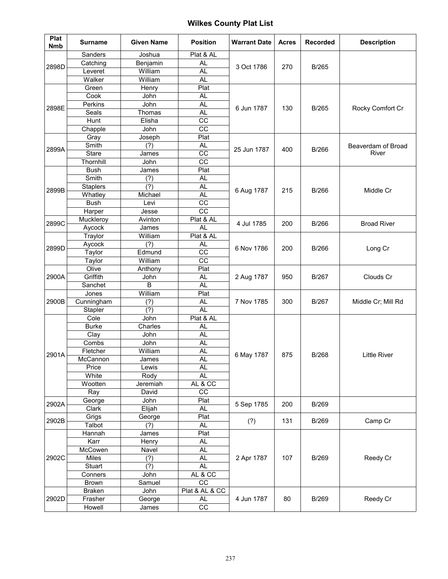| Plat<br><b>Nmb</b> | <b>Surname</b>             | <b>Given Name</b>        | <b>Position</b>        | <b>Warrant Date</b> | <b>Acres</b> | <b>Recorded</b> | <b>Description</b>          |
|--------------------|----------------------------|--------------------------|------------------------|---------------------|--------------|-----------------|-----------------------------|
|                    | Sanders                    | Joshua                   | Plat & AL              | 3 Oct 1786          |              |                 |                             |
| 2898D              | Catching                   | Benjamin                 | <b>AL</b>              |                     |              | B/265           |                             |
|                    | Leveret                    | William                  | <b>AL</b>              |                     | 270          |                 |                             |
|                    | Walker                     | William                  | <b>AL</b>              |                     |              |                 |                             |
|                    | Green                      | Henry                    | Plat                   |                     |              |                 |                             |
|                    | Cook                       | John                     | <b>AL</b>              |                     |              |                 |                             |
| 2898E              | Perkins                    | John                     | <b>AL</b>              | 6 Jun 1787          | 130          | B/265           | Rocky Comfort Cr            |
|                    | Seals                      | Thomas                   | <b>AL</b>              |                     |              |                 |                             |
|                    | Hunt                       | Elisha                   | $\overline{cc}$        |                     |              |                 |                             |
|                    | Chapple                    | John                     | $\overline{cc}$        |                     |              |                 |                             |
|                    | Gray                       | Joseph                   | Plat                   | 25 Jun 1787         |              |                 | Beaverdam of Broad<br>River |
| 2899A              | Smith                      | (?)                      | AL                     |                     | 400          | B/266           |                             |
|                    | <b>Stare</b>               | James                    | CC                     |                     |              |                 |                             |
|                    | Thornhill                  | John                     | $\overline{cc}$        |                     |              |                 |                             |
|                    | <b>Bush</b>                | James                    | Plat                   |                     |              |                 |                             |
|                    | Smith                      | (?)<br>$\overline{$ (?)} | <b>AL</b><br><b>AL</b> |                     |              |                 |                             |
| 2899B              | <b>Staplers</b><br>Whatley | Michael                  | <b>AL</b>              | 6 Aug 1787          | 215          | B/266           | Middle Cr                   |
|                    | <b>Bush</b>                | Levi                     | $\overline{cc}$        |                     |              |                 |                             |
|                    | Harper                     | Jesse                    | $\overline{cc}$        |                     |              |                 |                             |
|                    | Muckleroy                  | Avinton                  | Plat & AL              |                     |              |                 |                             |
| 2899C              | Aycock                     | James                    | <b>AL</b>              | 4 Jul 1785          | 200          | B/266           | <b>Broad River</b>          |
|                    | Traylor                    | William                  | Plat & AL              | 6 Nov 1786          |              | B/266           | Long Cr                     |
|                    | Aycock                     | (?)                      | <b>AL</b>              |                     |              |                 |                             |
| 2899D              | Taylor                     | Edmund                   | $\overline{cc}$        |                     | 200          |                 |                             |
|                    | Taylor                     | William                  | $\overline{cc}$        |                     |              |                 |                             |
|                    | Olive                      | Anthony                  | Plat                   | 2 Aug 1787          | 950          | B/267           | Clouds Cr                   |
| 2900A              | Griffith                   | John                     | <b>AL</b>              |                     |              |                 |                             |
|                    | Sanchet                    | В                        | <b>AL</b>              |                     |              |                 |                             |
|                    | Jones                      | William                  | Plat                   | 7 Nov 1785          |              | B/267           | Middle Cr; Mill Rd          |
| 2900B              | Cunningham                 | (?)                      | <b>AL</b>              |                     | 300          |                 |                             |
|                    | Stapler                    | (?)                      | <b>AL</b>              |                     |              |                 |                             |
|                    | Cole                       | John                     | Plat & AL              | 6 May 1787          | 875          | B/268           | <b>Little River</b>         |
|                    | <b>Burke</b>               | Charles                  | <b>AL</b>              |                     |              |                 |                             |
|                    | Clay                       | John                     | <b>AL</b>              |                     |              |                 |                             |
|                    | Combs                      | John                     | <b>AL</b>              |                     |              |                 |                             |
| 2901A              | Fletcher                   | William                  | AL                     |                     |              |                 |                             |
|                    | McCannon                   | James                    | <b>AL</b>              |                     |              |                 |                             |
|                    | Price                      | Lewis                    | <b>AL</b>              |                     |              |                 |                             |
|                    | White                      | Rody                     | <b>AL</b><br>AL & CC   |                     |              |                 |                             |
|                    | Wootten                    | Jeremiah<br>David        | $\overline{cc}$        |                     |              |                 |                             |
|                    | Ray<br>George              | John                     | Plat                   |                     | 200          | B/269           |                             |
| 2902A              | Clark                      | Elijah                   | <b>AL</b>              | 5 Sep 1785          |              |                 |                             |
|                    | Grigs                      | George                   | Plat                   |                     |              |                 |                             |
| 2902B              | Talbot                     | (?)                      | <b>AL</b>              | (?)                 | 131          | B/269           | Camp Cr                     |
|                    | Hannah                     | James                    | Plat                   |                     |              | B/269           | Reedy Cr                    |
|                    | Karr                       | Henry                    | <b>AL</b>              | 2 Apr 1787          |              |                 |                             |
| 2902C              | McCowen                    | Navel                    | <b>AL</b>              |                     |              |                 |                             |
|                    | Miles                      | (?)                      | <b>AL</b>              |                     | 107          |                 |                             |
|                    | Stuart                     | (?)                      | <b>AL</b>              |                     |              |                 |                             |
|                    | Conners                    | John                     | AL & CC                |                     |              |                 |                             |
|                    | Brown                      | Samuel                   | CC                     |                     |              |                 |                             |
|                    | <b>Braken</b>              | John                     | Plat & AL & CC         |                     |              |                 |                             |
| 2902D              | Frasher                    | George                   | <b>AL</b>              | 4 Jun 1787          | 80           | B/269           | Reedy Cr                    |
|                    | Howell                     | James                    | $\overline{cc}$        |                     |              |                 |                             |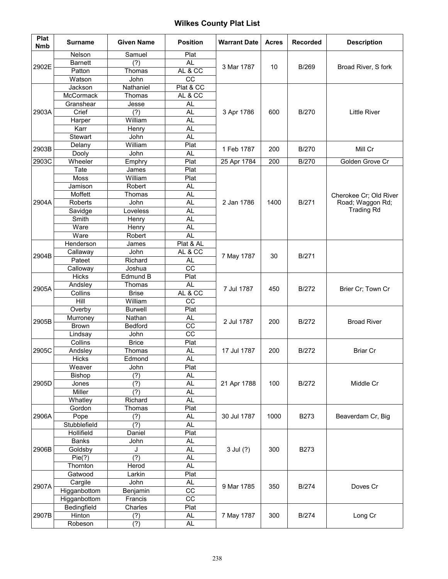| Plat<br><b>Nmb</b> | <b>Surname</b>       | <b>Given Name</b>           | <b>Position</b>   | <b>Warrant Date</b> | <b>Acres</b> | <b>Recorded</b> | <b>Description</b>                         |
|--------------------|----------------------|-----------------------------|-------------------|---------------------|--------------|-----------------|--------------------------------------------|
|                    | Nelson               | Samuel                      | Plat              | 3 Mar 1787          |              |                 |                                            |
| 2902E              | <b>Barnett</b>       | (?)                         | <b>AL</b>         |                     | 10           | <b>B/269</b>    | Broad River, S fork                        |
|                    | Patton               | Thomas                      | AL & CC           |                     |              |                 |                                            |
|                    | Watson               | John                        | CC                |                     |              |                 |                                            |
|                    | Jackson              | Nathaniel                   | Plat & CC         |                     |              |                 |                                            |
|                    | McCormack            | Thomas                      | AL & CC           |                     |              |                 |                                            |
|                    | Granshear            | Jesse                       | <b>AL</b>         |                     |              |                 |                                            |
| 2903A              | Crief                | (?)                         | <b>AL</b>         | 3 Apr 1786          | 600          | <b>B/270</b>    | <b>Little River</b>                        |
|                    | Harper               | William                     | AL                |                     |              |                 |                                            |
|                    | Karr                 | Henry                       | <b>AL</b>         |                     |              |                 |                                            |
|                    | Stewart              | John                        | <b>AL</b>         |                     |              |                 |                                            |
| 2903B              | Delany               | William                     | Plat              | 1 Feb 1787          | 200          | <b>B/270</b>    | Mill Cr                                    |
|                    | Dooly                | John                        | AL.               |                     |              |                 |                                            |
| 2903C              | Wheeler              | Emphry                      | Plat<br>Plat      | 25 Apr 1784         | 200          | <b>B/270</b>    | Golden Grove Cr                            |
|                    | Tate                 | James                       |                   |                     |              |                 |                                            |
|                    | Moss<br>Jamison      | William<br>Robert           | Plat<br>AL        |                     |              |                 |                                            |
|                    | Moffett              | Thomas                      | <b>AL</b>         |                     |              |                 |                                            |
| 2904A              | Roberts              | John                        | <b>AL</b>         | 2 Jan 1786          | 1400         | B/271           | Cherokee Cr; Old River<br>Road; Waggon Rd; |
|                    | Savidge              | Loveless                    | <b>AL</b>         |                     |              |                 | <b>Trading Rd</b>                          |
|                    | Smith                | Henry                       | <b>AL</b>         |                     |              |                 |                                            |
|                    | Ware                 | Henry                       | <b>AL</b>         |                     |              |                 |                                            |
|                    | Ware                 | Robert                      | AL                |                     |              |                 |                                            |
|                    | Henderson            | James                       | Plat & AL         | 7 May 1787          | 30           | B/271           |                                            |
|                    | Callaway             | John                        | AL & CC           |                     |              |                 |                                            |
| 2904B              | Pateet               | Richard                     | <b>AL</b>         |                     |              |                 |                                            |
|                    | Calloway             | Joshua                      | $\overline{cc}$   |                     |              |                 |                                            |
|                    | Hicks                | Edmund B                    | Plat              | 7 Jul 1787          | 450          | <b>B/272</b>    | Brier Cr; Town Cr                          |
|                    | Andsley              | Thomas                      | <b>AL</b>         |                     |              |                 |                                            |
| 2905A              | Collins              | <b>Brise</b>                | AL & CC           |                     |              |                 |                                            |
|                    | Hill                 | William                     | $\overline{cc}$   |                     |              |                 |                                            |
|                    | Overby               | <b>Burwell</b>              | Plat              |                     | 200          | B/272           | <b>Broad River</b>                         |
| 2905B              | Murroney             | Nathan                      | AL.               | 2 Jul 1787          |              |                 |                                            |
|                    | Brown                | Bedford                     | cc                |                     |              |                 |                                            |
|                    | Lindsay              | John                        | $\overline{cc}$   |                     |              |                 |                                            |
|                    | Collins              | <b>Brice</b>                | Plat              | 17 Jul 1787         | 200          | <b>B/272</b>    | <b>Briar Cr</b>                            |
| 2905C              | Andsley              | Thomas                      | AL.               |                     |              |                 |                                            |
|                    | Hicks                | Edmond                      | <b>AL</b>         |                     |              |                 |                                            |
|                    | Weaver               | John                        | Plat              | 21 Apr 1788         |              | B/272           | Middle Cr                                  |
|                    | Bishop               | (?)                         | AL                |                     | 100          |                 |                                            |
| 2905D              | Jones                | $\overline{(\overline{?})}$ | <b>AL</b>         |                     |              |                 |                                            |
|                    | Miller               | (?)                         | <b>AL</b>         |                     |              |                 |                                            |
|                    | Whatley              | Richard                     | AL                |                     |              | <b>B273</b>     | Beaverdam Cr, Big                          |
|                    | Gordon               | Thomas                      | Plat              |                     |              |                 |                                            |
| 2906A              | Pope<br>Stubblefield | (?)                         | <b>AL</b>         | 30 Jul 1787         | 1000         |                 |                                            |
|                    | Hollifield           | (?)<br>Daniel               | <b>AL</b><br>Plat |                     |              |                 |                                            |
| 2906B              | <b>Banks</b>         | John                        | <b>AL</b>         |                     |              | <b>B273</b>     |                                            |
|                    | Goldsby              | J                           | AL                | 3 Jul (?)           | 300          |                 |                                            |
|                    | Pie(?)               | (?)                         | <b>AL</b>         |                     |              |                 |                                            |
|                    | Thornton             | Herod                       | AL                |                     |              |                 |                                            |
|                    | Gatwood              | Larkin                      | Plat              |                     |              |                 |                                            |
|                    | Cargile              | John                        | AL.               |                     | 350          | <b>B/274</b>    | Doves Cr                                   |
| 2907A              | Higganbottom         | Benjamin                    | CC                | 9 Mar 1785          |              |                 |                                            |
|                    | Higganbottom         | Francis                     | $\overline{CC}$   |                     |              |                 |                                            |
|                    | Bedingfield          | Charles                     | Plat              |                     |              |                 |                                            |
| 2907B              | Hinton               | (?)                         | AL.               | 7 May 1787          | 300          | <b>B/274</b>    | Long Cr                                    |
|                    | Robeson              | (?)                         | AL                |                     |              |                 |                                            |
|                    |                      |                             |                   |                     |              |                 |                                            |